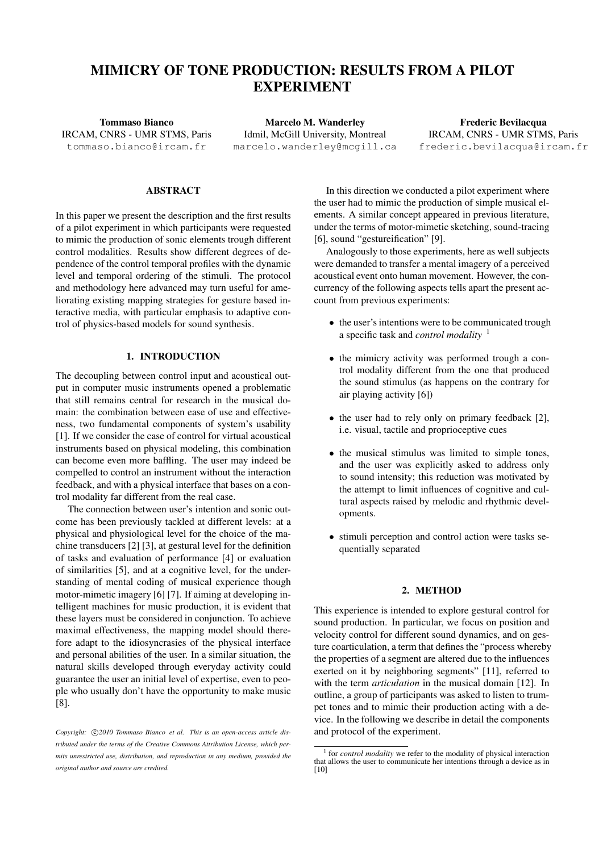# MIMICRY OF TONE PRODUCTION: RESULTS FROM A PILOT EXPERIMENT

Tommaso Bianco IRCAM, CNRS - UMR STMS, Paris [tommaso.bianco@ircam.fr](mailto:tommaso.bianco@ircam.fr)

Marcelo M. Wanderley Idmil, McGill University, Montreal [marcelo.wanderley@mcgill.ca](mailto:marcelo.wanderley@mcgill.ca)

Frederic Bevilacqua IRCAM, CNRS - UMR STMS, Paris [frederic.bevilacqua@ircam.fr](mailto:frederic.bevilacqua@ircam.fr)

### ABSTRACT

In this paper we present the description and the first results of a pilot experiment in which participants were requested to mimic the production of sonic elements trough different control modalities. Results show different degrees of dependence of the control temporal profiles with the dynamic level and temporal ordering of the stimuli. The protocol and methodology here advanced may turn useful for ameliorating existing mapping strategies for gesture based interactive media, with particular emphasis to adaptive control of physics-based models for sound synthesis.

### 1. INTRODUCTION

The decoupling between control input and acoustical output in computer music instruments opened a problematic that still remains central for research in the musical domain: the combination between ease of use and effectiveness, two fundamental components of system's usability [\[1\]](#page-4-0). If we consider the case of control for virtual acoustical instruments based on physical modeling, this combination can become even more baffling. The user may indeed be compelled to control an instrument without the interaction feedback, and with a physical interface that bases on a control modality far different from the real case.

The connection between user's intention and sonic outcome has been previously tackled at different levels: at a physical and physiological level for the choice of the machine transducers [\[2\]](#page-4-1) [\[3\]](#page-4-2), at gestural level for the definition of tasks and evaluation of performance [\[4\]](#page-4-3) or evaluation of similarities [\[5\]](#page-4-4), and at a cognitive level, for the understanding of mental coding of musical experience though motor-mimetic imagery [\[6\]](#page-4-5) [\[7\]](#page-4-6). If aiming at developing intelligent machines for music production, it is evident that these layers must be considered in conjunction. To achieve maximal effectiveness, the mapping model should therefore adapt to the idiosyncrasies of the physical interface and personal abilities of the user. In a similar situation, the natural skills developed through everyday activity could guarantee the user an initial level of expertise, even to people who usually don't have the opportunity to make music [\[8\]](#page-5-0).

In this direction we conducted a pilot experiment where the user had to mimic the production of simple musical elements. A similar concept appeared in previous literature, under the terms of motor-mimetic sketching, sound-tracing [\[6\]](#page-4-5), sound "gestureification" [\[9\]](#page-5-1).

Analogously to those experiments, here as well subjects were demanded to transfer a mental imagery of a perceived acoustical event onto human movement. However, the concurrency of the following aspects tells apart the present account from previous experiments:

- the user's intentions were to be communicated trough a specific task and *control modality* [1](#page-0-0)
- the mimicry activity was performed trough a control modality different from the one that produced the sound stimulus (as happens on the contrary for air playing activity [\[6\]](#page-4-5))
- the user had to rely only on primary feedback [\[2\]](#page-4-1), i.e. visual, tactile and proprioceptive cues
- the musical stimulus was limited to simple tones, and the user was explicitly asked to address only to sound intensity; this reduction was motivated by the attempt to limit influences of cognitive and cultural aspects raised by melodic and rhythmic developments.
- stimuli perception and control action were tasks sequentially separated

# 2. METHOD

This experience is intended to explore gestural control for sound production. In particular, we focus on position and velocity control for different sound dynamics, and on gesture coarticulation, a term that defines the "process whereby the properties of a segment are altered due to the influences exerted on it by neighboring segments" [\[11\]](#page-5-2), referred to with the term *articulation* in the musical domain [\[12\]](#page-5-3). In outline, a group of participants was asked to listen to trumpet tones and to mimic their production acting with a device. In the following we describe in detail the components and protocol of the experiment.

Copyright:  $\bigcirc$ 2010 Tommaso Bianco et al. This is an open-access article dis*tributed under the terms of the Creative Commons Attribution License, which permits unrestricted use, distribution, and reproduction in any medium, provided the original author and source are credited.*

<span id="page-0-0"></span><sup>&</sup>lt;sup>1</sup> for *control modality* we refer to the modality of physical interaction that allows the user to communicate her intentions through a device as in [\[10\]](#page-5-4)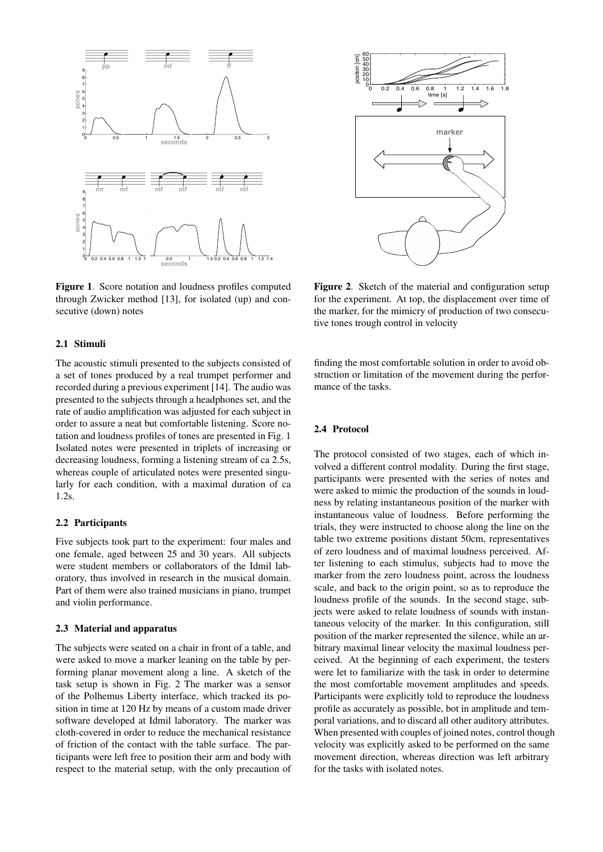<span id="page-1-0"></span>

Figure 1. Score notation and loudness profiles computed through Zwicker method [\[13\]](#page-5-5), for isolated (up) and consecutive (down) notes

### 2.1 Stimuli

The acoustic stimuli presented to the subjects consisted of a set of tones produced by a real trumpet performer and recorded during a previous experiment [\[14\]](#page-5-6). The audio was presented to the subjects through a headphones set, and the rate of audio amplification was adjusted for each subject in order to assure a neat but comfortable listening. Score notation and loudness profiles of tones are presented in Fig. [1](#page-1-0) Isolated notes were presented in triplets of increasing or decreasing loudness, forming a listening stream of ca 2.5s, whereas couple of articulated notes were presented singularly for each condition, with a maximal duration of ca 1.2s.

### 2.2 Participants

Five subjects took part to the experiment: four males and one female, aged between 25 and 30 years. All subjects were student members or collaborators of the Idmil laboratory, thus involved in research in the musical domain. Part of them were also trained musicians in piano, trumpet and violin performance.

### 2.3 Material and apparatus

The subjects were seated on a chair in front of a table, and were asked to move a marker leaning on the table by performing planar movement along a line. A sketch of the task setup is shown in Fig. [2](#page-1-1) The marker was a sensor of the Polhemus Liberty interface, which tracked its position in time at 120 Hz by means of a custom made driver software developed at Idmil laboratory. The marker was cloth-covered in order to reduce the mechanical resistance of friction of the contact with the table surface. The participants were left free to position their arm and body with respect to the material setup, with the only precaution of

<span id="page-1-1"></span>

Figure 2. Sketch of the material and configuration setup for the experiment. At top, the displacement over time of the marker, for the mimicry of production of two consecutive tones trough control in velocity

finding the most comfortable solution in order to avoid obstruction or limitation of the movement during the performance of the tasks.

# 2.4 Protocol

The protocol consisted of two stages, each of which involved a different control modality. During the first stage, participants were presented with the series of notes and were asked to mimic the production of the sounds in loudness by relating instantaneous position of the marker with instantaneous value of loudness. Before performing the trials, they were instructed to choose along the line on the table two extreme positions distant 50cm, representatives of zero loudness and of maximal loudness perceived. After listening to each stimulus, subjects had to move the marker from the zero loudness point, across the loudness scale, and back to the origin point, so as to reproduce the loudness profile of the sounds. In the second stage, subjects were asked to relate loudness of sounds with instantaneous velocity of the marker. In this configuration, still position of the marker represented the silence, while an arbitrary maximal linear velocity the maximal loudness perceived. At the beginning of each experiment, the testers were let to familiarize with the task in order to determine the most comfortable movement amplitudes and speeds. Participants were explicitly told to reproduce the loudness profile as accurately as possible, bot in amplitude and temporal variations, and to discard all other auditory attributes. When presented with couples of joined notes, control though velocity was explicitly asked to be performed on the same movement direction, whereas direction was left arbitrary for the tasks with isolated notes.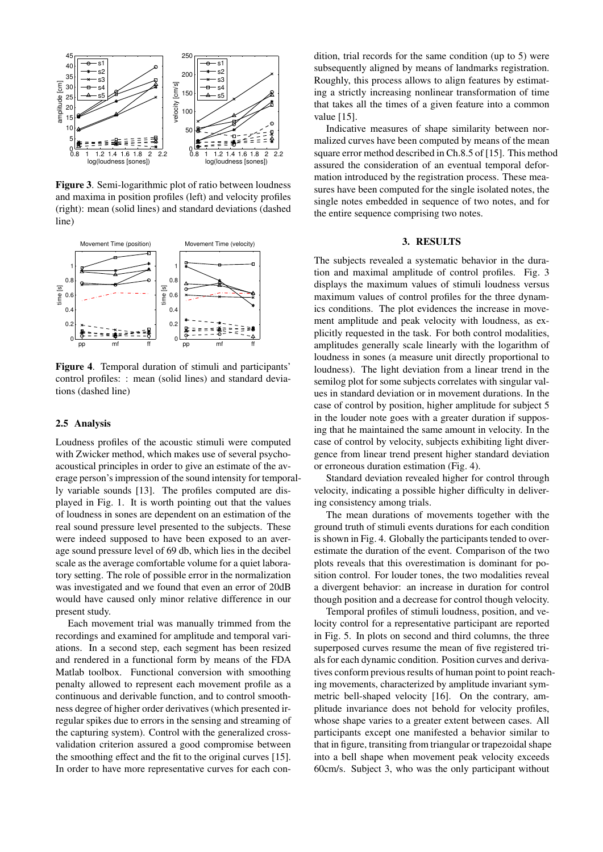<span id="page-2-0"></span>

Figure 3. Semi-logarithmic plot of ratio between loudness and maxima in position profiles (left) and velocity profiles (right): mean (solid lines) and standard deviations (dashed line)

<span id="page-2-1"></span>

Figure 4. Temporal duration of stimuli and participants' control profiles: : mean (solid lines) and standard deviations (dashed line)

### 2.5 Analysis

Loudness profiles of the acoustic stimuli were computed with Zwicker method, which makes use of several psychoacoustical principles in order to give an estimate of the average person's impression of the sound intensity for temporally variable sounds [\[13\]](#page-5-5). The profiles computed are displayed in Fig. [1.](#page-1-0) It is worth pointing out that the values of loudness in sones are dependent on an estimation of the real sound pressure level presented to the subjects. These were indeed supposed to have been exposed to an average sound pressure level of 69 db, which lies in the decibel scale as the average comfortable volume for a quiet laboratory setting. The role of possible error in the normalization was investigated and we found that even an error of 20dB would have caused only minor relative difference in our present study.

Each movement trial was manually trimmed from the recordings and examined for amplitude and temporal variations. In a second step, each segment has been resized and rendered in a functional form by means of the FDA Matlab toolbox. Functional conversion with smoothing penalty allowed to represent each movement profile as a continuous and derivable function, and to control smoothness degree of higher order derivatives (which presented irregular spikes due to errors in the sensing and streaming of the capturing system). Control with the generalized crossvalidation criterion assured a good compromise between the smoothing effect and the fit to the original curves [\[15\]](#page-5-7). In order to have more representative curves for each condition, trial records for the same condition (up to 5) were subsequently aligned by means of landmarks registration. Roughly, this process allows to align features by estimating a strictly increasing nonlinear transformation of time that takes all the times of a given feature into a common value [\[15\]](#page-5-7).

Indicative measures of shape similarity between normalized curves have been computed by means of the mean square error method described in Ch.8.5 of [\[15\]](#page-5-7). This method assured the consideration of an eventual temporal deformation introduced by the registration process. These measures have been computed for the single isolated notes, the single notes embedded in sequence of two notes, and for the entire sequence comprising two notes.

# 3. RESULTS

The subjects revealed a systematic behavior in the duration and maximal amplitude of control profiles. Fig. [3](#page-2-0) displays the maximum values of stimuli loudness versus maximum values of control profiles for the three dynamics conditions. The plot evidences the increase in movement amplitude and peak velocity with loudness, as explicitly requested in the task. For both control modalities, amplitudes generally scale linearly with the logarithm of loudness in sones (a measure unit directly proportional to loudness). The light deviation from a linear trend in the semilog plot for some subjects correlates with singular values in standard deviation or in movement durations. In the case of control by position, higher amplitude for subject 5 in the louder note goes with a greater duration if supposing that he maintained the same amount in velocity. In the case of control by velocity, subjects exhibiting light divergence from linear trend present higher standard deviation or erroneous duration estimation (Fig. [4\)](#page-2-1).

Standard deviation revealed higher for control through velocity, indicating a possible higher difficulty in delivering consistency among trials.

The mean durations of movements together with the ground truth of stimuli events durations for each condition is shown in Fig. [4.](#page-2-1) Globally the participants tended to overestimate the duration of the event. Comparison of the two plots reveals that this overestimation is dominant for position control. For louder tones, the two modalities reveal a divergent behavior: an increase in duration for control though position and a decrease for control though velocity.

Temporal profiles of stimuli loudness, position, and velocity control for a representative participant are reported in Fig. [5.](#page-3-0) In plots on second and third columns, the three superposed curves resume the mean of five registered trials for each dynamic condition. Position curves and derivatives conform previous results of human point to point reaching movements, characterized by amplitude invariant symmetric bell-shaped velocity [\[16\]](#page-5-8). On the contrary, amplitude invariance does not behold for velocity profiles, whose shape varies to a greater extent between cases. All participants except one manifested a behavior similar to that in figure, transiting from triangular or trapezoidal shape into a bell shape when movement peak velocity exceeds 60cm/s. Subject 3, who was the only participant without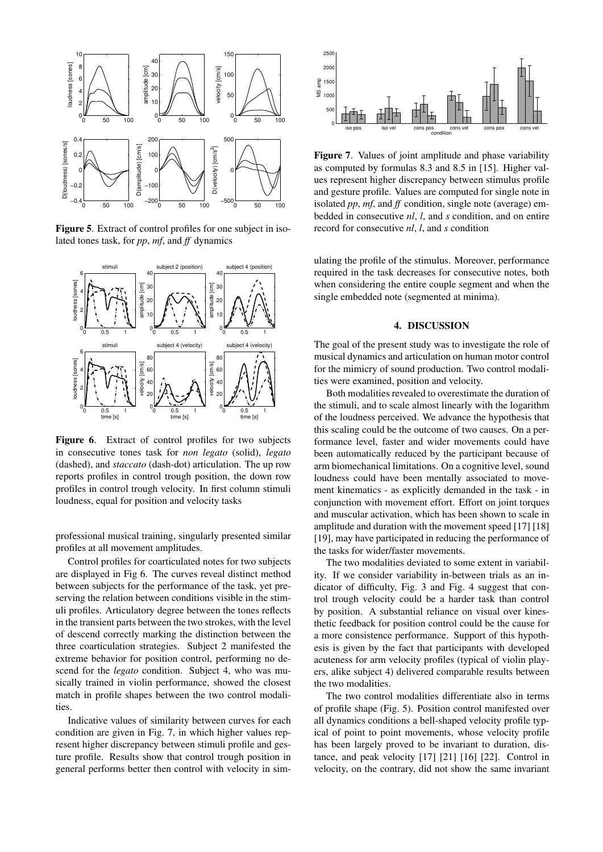<span id="page-3-0"></span>

Figure 5. Extract of control profiles for one subject in isolated tones task, for *pp*, *mf*, and *ff* dynamics

<span id="page-3-1"></span>

Figure 6. Extract of control profiles for two subjects in consecutive tones task for *non legato* (solid), *legato* (dashed), and *staccato* (dash-dot) articulation. The up row reports profiles in control trough position, the down row profiles in control trough velocity. In first column stimuli loudness, equal for position and velocity tasks

professional musical training, singularly presented similar profiles at all movement amplitudes.

Control profiles for coarticulated notes for two subjects are displayed in Fig [6.](#page-3-1) The curves reveal distinct method between subjects for the performance of the task, yet preserving the relation between conditions visible in the stimuli profiles. Articulatory degree between the tones reflects in the transient parts between the two strokes, with the level of descend correctly marking the distinction between the three coarticulation strategies. Subject 2 manifested the extreme behavior for position control, performing no descend for the *legato* condition. Subject 4, who was musically trained in violin performance, showed the closest match in profile shapes between the two control modalities.

Indicative values of similarity between curves for each condition are given in Fig. [7,](#page-3-2) in which higher values represent higher discrepancy between stimuli profile and gesture profile. Results show that control trough position in general performs better then control with velocity in sim-

<span id="page-3-2"></span>

Figure 7. Values of joint amplitude and phase variability as computed by formulas 8.3 and 8.5 in [\[15\]](#page-5-7). Higher values represent higher discrepancy between stimulus profile and gesture profile. Values are computed for single note in isolated *pp*, *mf*, and *ff* condition, single note (average) embedded in consecutive *nl*, *l*, and *s* condition, and on entire record for consecutive *nl*, *l*, and *s* condition

ulating the profile of the stimulus. Moreover, performance required in the task decreases for consecutive notes, both when considering the entire couple segment and when the single embedded note (segmented at minima).

### 4. DISCUSSION

The goal of the present study was to investigate the role of musical dynamics and articulation on human motor control for the mimicry of sound production. Two control modalities were examined, position and velocity.

Both modalities revealed to overestimate the duration of the stimuli, and to scale almost linearly with the logarithm of the loudness perceived. We advance the hypothesis that this scaling could be the outcome of two causes. On a performance level, faster and wider movements could have been automatically reduced by the participant because of arm biomechanical limitations. On a cognitive level, sound loudness could have been mentally associated to movement kinematics - as explicitly demanded in the task - in conjunction with movement effort. Effort on joint torques and muscular activation, which has been shown to scale in amplitude and duration with the movement speed [\[17\]](#page-5-9) [\[18\]](#page-5-10) [\[19\]](#page-5-11), may have participated in reducing the performance of the tasks for wider/faster movements.

The two modalities deviated to some extent in variability. If we consider variability in-between trials as an indicator of difficulty, Fig. [3](#page-2-0) and Fig. [4](#page-2-1) suggest that control trough velocity could be a harder task than control by position. A substantial reliance on visual over kinesthetic feedback for position control could be the cause for a more consistence performance. Support of this hypothesis is given by the fact that participants with developed acuteness for arm velocity profiles (typical of violin players, alike subject 4) delivered comparable results between the two modalities.

The two control modalities differentiate also in terms of profile shape (Fig. [5\)](#page-3-0). Position control manifested over all dynamics conditions a bell-shaped velocity profile typical of point to point movements, whose velocity profile has been largely proved to be invariant to duration, distance, and peak velocity [\[17\]](#page-5-9) [\[21\]](#page-5-12) [\[16\]](#page-5-8) [\[22\]](#page-5-13). Control in velocity, on the contrary, did not show the same invariant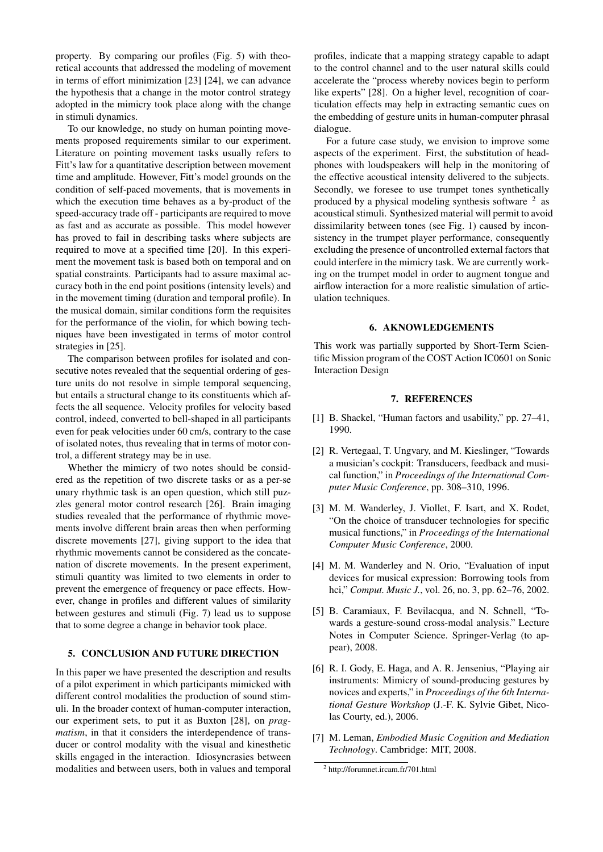property. By comparing our profiles (Fig. [5\)](#page-3-0) with theoretical accounts that addressed the modeling of movement in terms of effort minimization [\[23\]](#page-5-14) [\[24\]](#page-5-15), we can advance the hypothesis that a change in the motor control strategy adopted in the mimicry took place along with the change in stimuli dynamics.

To our knowledge, no study on human pointing movements proposed requirements similar to our experiment. Literature on pointing movement tasks usually refers to Fitt's law for a quantitative description between movement time and amplitude. However, Fitt's model grounds on the condition of self-paced movements, that is movements in which the execution time behaves as a by-product of the speed-accuracy trade off - participants are required to move as fast and as accurate as possible. This model however has proved to fail in describing tasks where subjects are required to move at a specified time [\[20\]](#page-5-16). In this experiment the movement task is based both on temporal and on spatial constraints. Participants had to assure maximal accuracy both in the end point positions (intensity levels) and in the movement timing (duration and temporal profile). In the musical domain, similar conditions form the requisites for the performance of the violin, for which bowing techniques have been investigated in terms of motor control strategies in [\[25\]](#page-5-17).

The comparison between profiles for isolated and consecutive notes revealed that the sequential ordering of gesture units do not resolve in simple temporal sequencing, but entails a structural change to its constituents which affects the all sequence. Velocity profiles for velocity based control, indeed, converted to bell-shaped in all participants even for peak velocities under 60 cm/s, contrary to the case of isolated notes, thus revealing that in terms of motor control, a different strategy may be in use.

Whether the mimicry of two notes should be considered as the repetition of two discrete tasks or as a per-se unary rhythmic task is an open question, which still puzzles general motor control research [\[26\]](#page-5-18). Brain imaging studies revealed that the performance of rhythmic movements involve different brain areas then when performing discrete movements [\[27\]](#page-5-19), giving support to the idea that rhythmic movements cannot be considered as the concatenation of discrete movements. In the present experiment, stimuli quantity was limited to two elements in order to prevent the emergence of frequency or pace effects. However, change in profiles and different values of similarity between gestures and stimuli (Fig. [7\)](#page-3-2) lead us to suppose that to some degree a change in behavior took place.

# 5. CONCLUSION AND FUTURE DIRECTION

In this paper we have presented the description and results of a pilot experiment in which participants mimicked with different control modalities the production of sound stimuli. In the broader context of human-computer interaction, our experiment sets, to put it as Buxton [\[28\]](#page-5-20), on *pragmatism*, in that it considers the interdependence of transducer or control modality with the visual and kinesthetic skills engaged in the interaction. Idiosyncrasies between modalities and between users, both in values and temporal

profiles, indicate that a mapping strategy capable to adapt to the control channel and to the user natural skills could accelerate the "process whereby novices begin to perform like experts" [\[28\]](#page-5-20). On a higher level, recognition of coarticulation effects may help in extracting semantic cues on the embedding of gesture units in human-computer phrasal dialogue.

For a future case study, we envision to improve some aspects of the experiment. First, the substitution of headphones with loudspeakers will help in the monitoring of the effective acoustical intensity delivered to the subjects. Secondly, we foresee to use trumpet tones synthetically produced by a physical modeling synthesis software  $2$  as acoustical stimuli. Synthesized material will permit to avoid dissimilarity between tones (see Fig. [1\)](#page-1-0) caused by inconsistency in the trumpet player performance, consequently excluding the presence of uncontrolled external factors that could interfere in the mimicry task. We are currently working on the trumpet model in order to augment tongue and airflow interaction for a more realistic simulation of articulation techniques.

### 6. AKNOWLEDGEMENTS

This work was partially supported by Short-Term Scientific Mission program of the COST Action IC0601 on Sonic Interaction Design

### 7. REFERENCES

- <span id="page-4-0"></span>[1] B. Shackel, "Human factors and usability," pp. 27–41, 1990.
- <span id="page-4-1"></span>[2] R. Vertegaal, T. Ungvary, and M. Kieslinger, "Towards a musician's cockpit: Transducers, feedback and musical function," in *Proceedings of the International Computer Music Conference*, pp. 308–310, 1996.
- <span id="page-4-2"></span>[3] M. M. Wanderley, J. Viollet, F. Isart, and X. Rodet, "On the choice of transducer technologies for specific musical functions," in *Proceedings of the International Computer Music Conference*, 2000.
- <span id="page-4-3"></span>[4] M. M. Wanderley and N. Orio, "Evaluation of input devices for musical expression: Borrowing tools from hci," *Comput. Music J.*, vol. 26, no. 3, pp. 62–76, 2002.
- <span id="page-4-4"></span>[5] B. Caramiaux, F. Bevilacqua, and N. Schnell, "Towards a gesture-sound cross-modal analysis." Lecture Notes in Computer Science. Springer-Verlag (to appear), 2008.
- <span id="page-4-5"></span>[6] R. I. Gody, E. Haga, and A. R. Jensenius, "Playing air instruments: Mimicry of sound-producing gestures by novices and experts," in *Proceedings of the 6th International Gesture Workshop* (J.-F. K. Sylvie Gibet, Nicolas Courty, ed.), 2006.
- <span id="page-4-6"></span>[7] M. Leman, *Embodied Music Cognition and Mediation Technology*. Cambridge: MIT, 2008.

<span id="page-4-7"></span><sup>2</sup> http://forumnet.ircam.fr/701.html